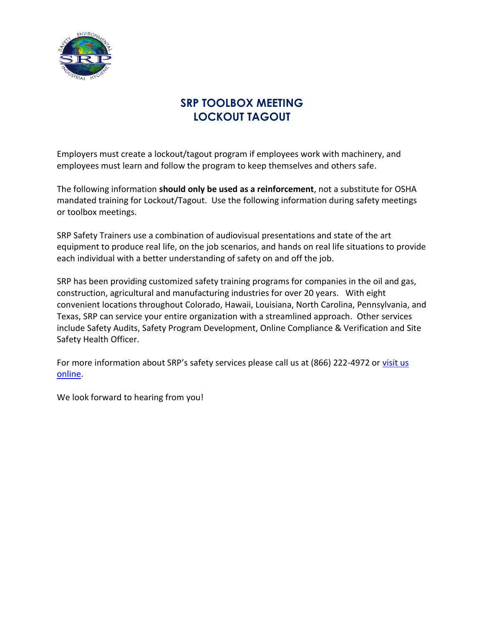

## **SRP TOOLBOX MEETING LOCKOUT TAGOUT**

Employers must create a lockout/tagout program if employees work with machinery, and employees must learn and follow the program to keep themselves and others safe.

The following information **should only be used as a reinforcement**, not a substitute for OSHA mandated training for Lockout/Tagout. Use the following information during safety meetings or toolbox meetings.

SRP Safety Trainers use a combination of audiovisual presentations and state of the art equipment to produce real life, on the job scenarios, and hands on real life situations to provide each individual with a better understanding of safety on and off the job.

SRP has been providing customized safety training programs for companies in the oil and gas, construction, agricultural and manufacturing industries for over 20 years. With eight convenient locations throughout Colorado, Hawaii, Louisiana, North Carolina, Pennsylvania, and Texas, SRP can service your entire organization with a streamlined approach. Other services include Safety Audits, Safety Program Development, Online Compliance & Verification and Site Safety Health Officer.

For more information about SRP's safety services please call us at (866) 222-4972 or visit us [online.](http://srpenvironmental.com/environmental-health-safety-training/)

We look forward to hearing from you!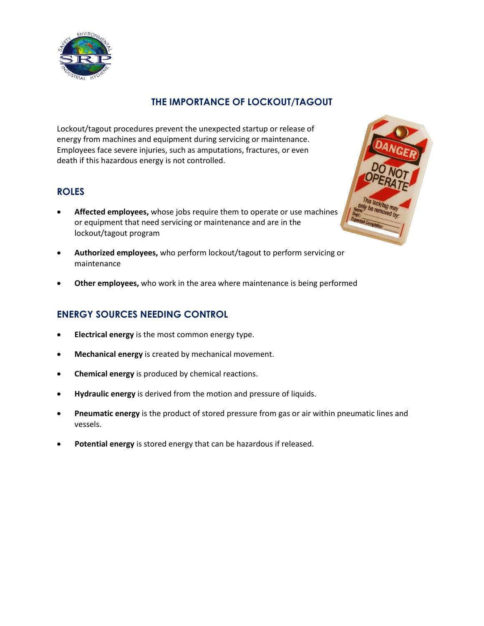

## **THE IMPORTANCE OF LOCKOUT/TAGOUT**

Lockout/tagout procedures prevent the unexpected startup or release of energy from machines and equipment during servicing or maintenance. Employees face severe injuries, such as amputations, fractures, or even death if this hazardous energy is not controlled.

### **ROLES**

- **Affected employees,** whose jobs require them to operate or use machines or equipment that need servicing or maintenance and are in the lockout/tagout program
- **Authorized employees,** who perform lockout/tagout to perform servicing or maintenance
- **Other employees,** who work in the area where maintenance is being performed

## **ENERGY SOURCES NEEDING CONTROL**

- **Electrical energy** is the most common energy type.
- **Mechanical energy** is created by mechanical movement.
- **Chemical energy** is produced by chemical reactions.
- **Hydraulic energy** is derived from the motion and pressure of liquids.
- **Pneumatic energy** is the product of stored pressure from gas or air within pneumatic lines and vessels.
- **Potential energy** is stored energy that can be hazardous if released.